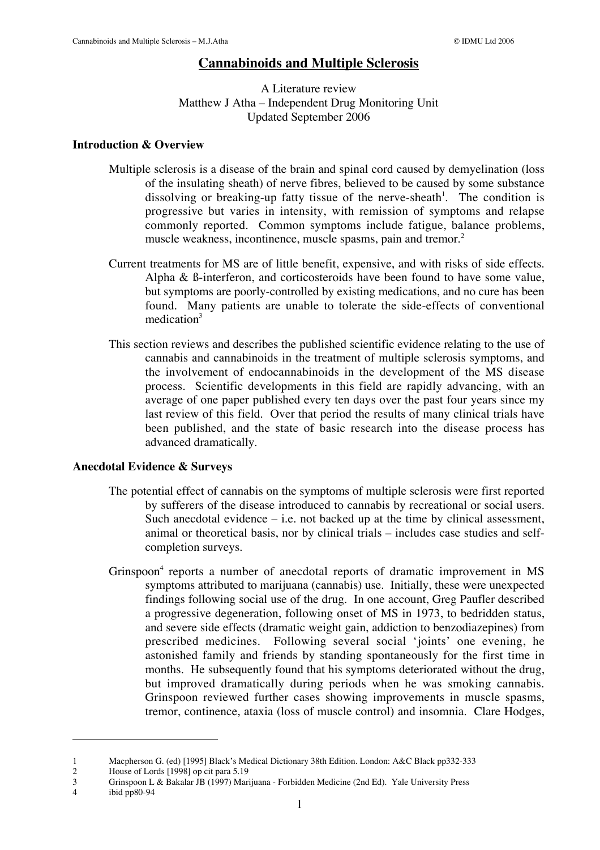# **Cannabinoids and Multiple Sclerosis**

## A Literature review Matthew J Atha – Independent Drug Monitoring Unit Updated September 2006

## **Introduction & Overview**

- Multiple sclerosis is a disease of the brain and spinal cord caused by demyelination (loss of the insulating sheath) of nerve fibres, believed to be caused by some substance dissolving or breaking-up fatty tissue of the nerve-sheath<sup>1</sup>. The condition is progressive but varies in intensity, with remission of symptoms and relapse commonly reported. Common symptoms include fatigue, balance problems, muscle weakness, incontinence, muscle spasms, pain and tremor.<sup>2</sup>
- Current treatments for MS are of little benefit, expensive, and with risks of side effects. Alpha & ß-interferon, and corticosteroids have been found to have some value, but symptoms are poorly-controlled by existing medications, and no cure has been found. Many patients are unable to tolerate the side-effects of conventional medication<sup>3</sup>
- This section reviews and describes the published scientific evidence relating to the use of cannabis and cannabinoids in the treatment of multiple sclerosis symptoms, and the involvement of endocannabinoids in the development of the MS disease process. Scientific developments in this field are rapidly advancing, with an average of one paper published every ten days over the past four years since my last review of this field. Over that period the results of many clinical trials have been published, and the state of basic research into the disease process has advanced dramatically.

## **Anecdotal Evidence & Surveys**

- The potential effect of cannabis on the symptoms of multiple sclerosis were first reported by sufferers of the disease introduced to cannabis by recreational or social users. Such anecdotal evidence  $-$  i.e. not backed up at the time by clinical assessment, animal or theoretical basis, nor by clinical trials – includes case studies and selfcompletion surveys.
- Grinspoon<sup>4</sup> reports a number of anecdotal reports of dramatic improvement in MS symptoms attributed to marijuana (cannabis) use. Initially, these were unexpected findings following social use of the drug. In one account, Greg Paufler described a progressive degeneration, following onset of MS in 1973, to bedridden status, and severe side effects (dramatic weight gain, addiction to benzodiazepines) from prescribed medicines. Following several social 'joints' one evening, he astonished family and friends by standing spontaneously for the first time in months. He subsequently found that his symptoms deteriorated without the drug, but improved dramatically during periods when he was smoking cannabis. Grinspoon reviewed further cases showing improvements in muscle spasms, tremor, continence, ataxia (loss of muscle control) and insomnia. Clare Hodges,

4 ibid pp80-94

 $\overline{a}$ 

<sup>1</sup> Macpherson G. (ed) [1995] Black's Medical Dictionary 38th Edition. London: A&C Black pp332-333<br>2 House of Lords [1998] on cit para 5.19

<sup>2</sup> House of Lords [1998] op cit para 5.19<br>3 Grinspoon L & Bakalar JB (1997) Mar

<sup>3</sup> Grinspoon L & Bakalar JB (1997) Marijuana - Forbidden Medicine (2nd Ed). Yale University Press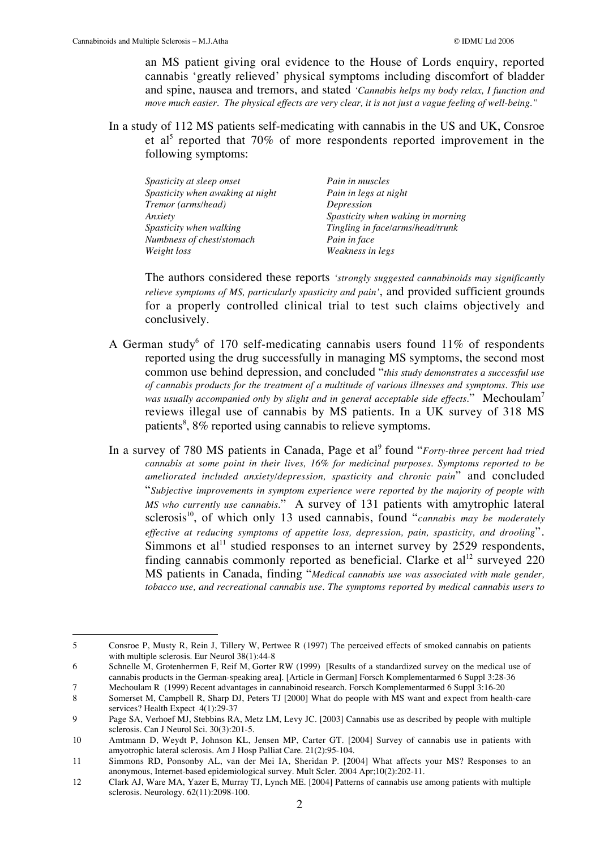an MS patient giving oral evidence to the House of Lords enquiry, reported cannabis 'greatly relieved' physical symptoms including discomfort of bladder and spine, nausea and tremors, and stated *'Cannabis helps my body relax, I function and move much easier. The physical effects are very clear, it is not just a vague feeling of well-being."*

In a study of 112 MS patients self-medicating with cannabis in the US and UK, Consroe et al<sup>5</sup> reported that 70% of more respondents reported improvement in the following symptoms:

| Spasticity at sleep onset        | Pain in muscles                   |
|----------------------------------|-----------------------------------|
| Spasticity when awaking at night | Pain in legs at night             |
| Tremor (arms/head)               | Depression                        |
| Anxiety                          | Spasticity when waking in morning |
| Spasticity when walking          | Tingling in face/arms/head/trunk  |
| Numbness of chest/stomach        | Pain in face                      |
| Weight loss                      | Weakness in legs                  |

The authors considered these reports *'strongly suggested cannabinoids may significantly relieve symptoms of MS, particularly spasticity and pain'*, and provided sufficient grounds for a properly controlled clinical trial to test such claims objectively and conclusively.

- A German study<sup>6</sup> of 170 self-medicating cannabis users found  $11\%$  of respondents reported using the drug successfully in managing MS symptoms, the second most common use behind depression, and concluded "*this study demonstrates a successful use of cannabis products for the treatment of a multitude of various illnesses and symptoms. This use* was usually accompanied only by slight and in general acceptable side effects." Mechoulam<sup>7</sup> reviews illegal use of cannabis by MS patients. In a UK survey of 318 MS patients<sup>8</sup>, 8% reported using cannabis to relieve symptoms.
- In a survey of 780 MS patients in Canada, Page et al<sup>9</sup> found "*Forty-three percent had tried cannabis at some point in their lives, 16% for medicinal purposes. Symptoms reported to be ameliorated included anxiety/depression, spasticity and chronic pain*" and concluded "*Subjective improvements in symptom experience were reported by the majority of people with MS who currently use cannabis.*" A survey of 131 patients with amytrophic lateral sclerosis<sup>10</sup>, of which only 13 used cannabis, found "*cannabis may be moderately effective at reducing symptoms of appetite loss, depression, pain, spasticity, and drooling*". Simmons et al<sup>11</sup> studied responses to an internet survey by 2529 respondents, finding cannabis commonly reported as beneficial. Clarke et  $al<sup>12</sup>$  surveyed 220 MS patients in Canada, finding "*Medical cannabis use was associated with male gender, tobacco use, and recreational cannabis use. The symptoms reported by medical cannabis users to*

 <sup>5</sup> Consroe P, Musty R, Rein J, Tillery W, Pertwee R (1997) The perceived effects of smoked cannabis on patients with multiple sclerosis. Eur Neurol 38(1):44-8

<sup>6</sup> Schnelle M, Grotenhermen F, Reif M, Gorter RW (1999) [Results of a standardized survey on the medical use of cannabis products in the German-speaking area]. [Article in German] Forsch Komplementarmed 6 Suppl 3:28-36

<sup>7</sup> Mechoulam R (1999) Recent advantages in cannabinoid research. Forsch Komplementarmed 6 Suppl 3:16-20

<sup>8</sup> Somerset M, Campbell R, Sharp DJ, Peters TJ [2000] What do people with MS want and expect from health-care services? Health Expect 4(1):29-37

<sup>9</sup> Page SA, Verhoef MJ, Stebbins RA, Metz LM, Levy JC. [2003] Cannabis use as described by people with multiple sclerosis. Can J Neurol Sci. 30(3):201-5.

<sup>10</sup> Amtmann D, Weydt P, Johnson KL, Jensen MP, Carter GT. [2004] Survey of cannabis use in patients with amyotrophic lateral sclerosis. Am J Hosp Palliat Care. 21(2):95-104.

<sup>11</sup> Simmons RD, Ponsonby AL, van der Mei IA, Sheridan P. [2004] What affects your MS? Responses to an anonymous, Internet-based epidemiological survey. Mult Scler. 2004 Apr;10(2):202-11.

<sup>12</sup> Clark AJ, Ware MA, Yazer E, Murray TJ, Lynch ME. [2004] Patterns of cannabis use among patients with multiple sclerosis. Neurology. 62(11):2098-100.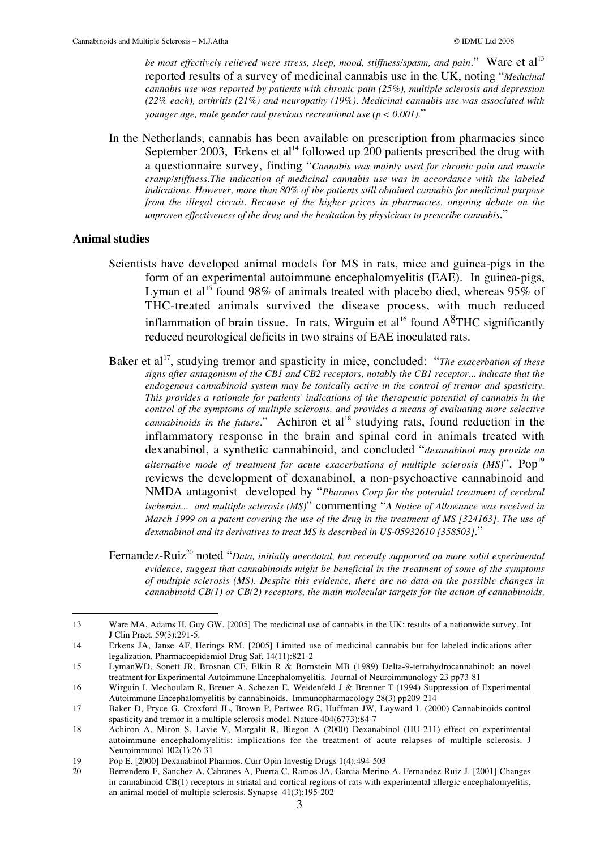*be most effectively relieved were stress, sleep, mood, stiffness/spasm, and pain.*" Ware et al<sup>13</sup> reported results of a survey of medicinal cannabis use in the UK, noting "*Medicinal cannabis use was reported by patients with chronic pain (25%), multiple sclerosis and depression (22% each), arthritis (21%) and neuropathy (19%). Medicinal cannabis use was associated with younger age, male gender and previous recreational use (p < 0.001).*"

In the Netherlands, cannabis has been available on prescription from pharmacies since September 2003, Erkens et al<sup>14</sup> followed up 200 patients prescribed the drug with a questionnaire survey, finding "*Cannabis was mainly used for chronic pain and muscle cramp/stiffness.The indication of medicinal cannabis use was in accordance with the labeled indications. However, more than 80% of the patients still obtained cannabis for medicinal purpose from the illegal circuit. Because of the higher prices in pharmacies, ongoing debate on the unproven effectiveness of the drug and the hesitation by physicians to prescribe cannabis*."

## **Animal studies**

- Scientists have developed animal models for MS in rats, mice and guinea-pigs in the form of an experimental autoimmune encephalomyelitis (EAE). In guinea-pigs, Lyman et al<sup>15</sup> found 98% of animals treated with placebo died, whereas 95% of THC-treated animals survived the disease process, with much reduced inflammation of brain tissue. In rats, Wirguin et al<sup>16</sup> found  $\Delta^8$ THC significantly reduced neurological deficits in two strains of EAE inoculated rats.
- Baker et al<sup>17</sup>, studying tremor and spasticity in mice, concluded: "The exacerbation of these *signs after antagonism of the CB1 and CB2 receptors, notably the CB1 receptor... indicate that the endogenous cannabinoid system may be tonically active in the control of tremor and spasticity. This provides a rationale for patients' indications of the therapeutic potential of cannabis in the control of the symptoms of multiple sclerosis, and provides a means of evaluating more selective cannabinoids in the future.*" Achiron et al<sup>18</sup> studying rats, found reduction in the inflammatory response in the brain and spinal cord in animals treated with dexanabinol, a synthetic cannabinoid, and concluded "*dexanabinol may provide an alternative mode of treatment for acute exacerbations of multiple sclerosis (MS)*". Pop<sup>19</sup> reviews the development of dexanabinol, a non-psychoactive cannabinoid and NMDA antagonist developed by "*Pharmos Corp for the potential treatment of cerebral ischemia... and multiple sclerosis (MS)*" commenting "*A Notice of Allowance was received in March 1999 on a patent covering the use of the drug in the treatment of MS [324163]. The use of dexanabinol and its derivatives to treat MS is described in US-05932610 [358503]*."
- Fernandez-Ruiz<sup>20</sup> noted "Data, initially anecdotal, but recently supported on more solid experimental *evidence, suggest that cannabinoids might be beneficial in the treatment of some of the symptoms of multiple sclerosis (MS). Despite this evidence, there are no data on the possible changes in cannabinoid CB(1) or CB(2) receptors, the main molecular targets for the action of cannabinoids,*

<sup>13</sup> Ware MA, Adams H, Guy GW. [2005] The medicinal use of cannabis in the UK: results of a nationwide survey. Int J Clin Pract. 59(3):291-5.

<sup>14</sup> Erkens JA, Janse AF, Herings RM. [2005] Limited use of medicinal cannabis but for labeled indications after legalization. Pharmacoepidemiol Drug Saf. 14(11):821-2

<sup>15</sup> LymanWD, Sonett JR, Brosnan CF, Elkin R & Bornstein MB (1989) Delta-9-tetrahydrocannabinol: an novel treatment for Experimental Autoimmune Encephalomyelitis. Journal of Neuroimmunology 23 pp73-81

<sup>16</sup> Wirguin I, Mechoulam R, Breuer A, Schezen E, Weidenfeld J & Brenner T (1994) Suppression of Experimental Autoimmune Encephalomyelitis by cannabinoids. Immunopharmacology 28(3) pp209-214

<sup>17</sup> Baker D, Pryce G, Croxford JL, Brown P, Pertwee RG, Huffman JW, Layward L (2000) Cannabinoids control spasticity and tremor in a multiple sclerosis model. Nature 404(6773):84-7

<sup>18</sup> Achiron A, Miron S, Lavie V, Margalit R, Biegon A (2000) Dexanabinol (HU-211) effect on experimental autoimmune encephalomyelitis: implications for the treatment of acute relapses of multiple sclerosis. J Neuroimmunol 102(1):26-31

<sup>19</sup> Pop E. [2000] Dexanabinol Pharmos. Curr Opin Investig Drugs 1(4):494-503<br>20 Berrendero F. Sanchez A. Cabranes A. Puerta C. Ramos JA. Garcia-Merino

<sup>20</sup> Berrendero F, Sanchez A, Cabranes A, Puerta C, Ramos JA, Garcia-Merino A, Fernandez-Ruiz J. [2001] Changes in cannabinoid CB(1) receptors in striatal and cortical regions of rats with experimental allergic encephalomyelitis, an animal model of multiple sclerosis. Synapse 41(3):195-202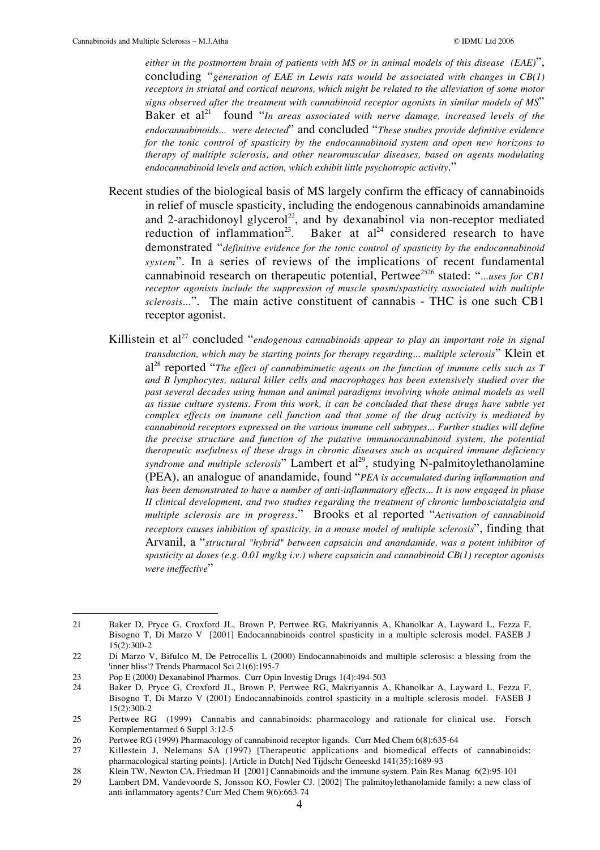*either in the postmortem brain of patients with MS or in animal models of this disease (EAE)*", concluding "*generation of EAE in Lewis rats would be associated with changes in CB(1) receptors in striatal and cortical neurons, which might be related to the alleviation of some motor signs observed after the treatment with cannabinoid receptor agonists in similar models of MS*" Baker et al<sup>21</sup> found "*In areas associated with nerve damage, increased levels of the endocannabinoids... were detected*" and concluded "*These studies provide definitive evidence for the tonic control of spasticity by the endocannabinoid system and open new horizons to therapy of multiple sclerosis, and other neuromuscular diseases, based on agents modulating endocannabinoid levels and action, which exhibit little psychotropic activity*."

- Recent studies of the biological basis of MS largely confirm the efficacy of cannabinoids in relief of muscle spasticity, including the endogenous cannabinoids amandamine and 2-arachidonoyl glycerol<sup>22</sup>, and by dexanabinol via non-receptor mediated reduction of inflammation<sup>23</sup>. Baker at al<sup>24</sup> considered research to have demonstrated "*definitive evidence for the tonic control of spasticity by the endocannabinoid system*". In a series of reviews of the implications of recent fundamental cannabinoid research on therapeutic potential, Pertwee<sup>2526</sup> stated: "*...uses for CB1 receptor agonists include the suppression of muscle spasm/spasticity associated with multiple sclerosis...*". The main active constituent of cannabis - THC is one such CB1 receptor agonist.
- Killistein et al<sup>27</sup> concluded "*endogenous cannabinoids appear to play an important role in signal transduction, which may be starting points for therapy regarding... multiple sclerosis*" Klein et al28 reported "*The effect of cannabimimetic agents on the function of immune cells such as T and B lymphocytes, natural killer cells and macrophages has been extensively studied over the past several decades using human and animal paradigms involving whole animal models as well as tissue culture systems. From this work, it can be concluded that these drugs have subtle yet complex effects on immune cell function and that some of the drug activity is mediated by cannabinoid receptors expressed on the various immune cell subtypes... Further studies will define the precise structure and function of the putative immunocannabinoid system, the potential therapeutic usefulness of these drugs in chronic diseases such as acquired immune deficiency* syndrome and multiple sclerosis" Lambert et al<sup>29</sup>, studying N-palmitoylethanolamine (PEA), an analogue of anandamide, found "*PEA is accumulated during inflammation and has been demonstrated to have a number of anti-inflammatory effects... It is now engaged in phase II clinical development, and two studies regarding the treatment of chronic lumbosciatalgia and multiple sclerosis are in progress*." Brooks et al reported "*Activation of cannabinoid receptors causes inhibition of spasticity, in a mouse model of multiple sclerosis*", finding that Arvanil, a "*structural "hybrid" between capsaicin and anandamide, was a potent inhibitor of spasticity at doses (e.g. 0.01 mg/kg i.v.) where capsaicin and cannabinoid CB(1) receptor agonists were ineffective*"

 <sup>21</sup> Baker D, Pryce G, Croxford JL, Brown P, Pertwee RG, Makriyannis A, Khanolkar A, Layward L, Fezza F, Bisogno T, Di Marzo V [2001] Endocannabinoids control spasticity in a multiple sclerosis model. FASEB J 15(2):300-2

<sup>22</sup> Di Marzo V, Bifulco M, De Petrocellis L (2000) Endocannabinoids and multiple sclerosis: a blessing from the 'inner bliss'? Trends Pharmacol Sci 21(6):195-7

<sup>23</sup> Pop E (2000) Dexanabinol Pharmos. Curr Opin Investig Drugs 1(4):494-503

<sup>24</sup> Baker D, Pryce G, Croxford JL, Brown P, Pertwee RG, Makriyannis A, Khanolkar A, Layward L, Fezza F, Bisogno T, Di Marzo V (2001) Endocannabinoids control spasticity in a multiple sclerosis model. FASEB J 15(2):300-2

<sup>25</sup> Pertwee RG (1999) Cannabis and cannabinoids: pharmacology and rationale for clinical use. Forsch Komplementarmed 6 Suppl 3:12-5

<sup>26</sup> Pertwee RG (1999) Pharmacology of cannabinoid receptor ligands. Curr Med Chem 6(8):635-64

<sup>27</sup> Killestein J, Nelemans SA (1997) [Therapeutic applications and biomedical effects of cannabinoids; pharmacological starting points]. [Article in Dutch] Ned Tijdschr Geneeskd 141(35):1689-93

<sup>28</sup> Klein TW, Newton CA, Friedman H [2001] Cannabinoids and the immune system. Pain Res Manag 6(2):95-101<br>29 Lambert DM. Vandevoorde S. Jonsson KO. Fowler CJ. [2002] The palmitovlethanolamide family: a new class

Lambert DM, Vandevoorde S, Jonsson KO, Fowler CJ. [2002] The palmitoylethanolamide family: a new class of anti-inflammatory agents? Curr Med Chem 9(6):663-74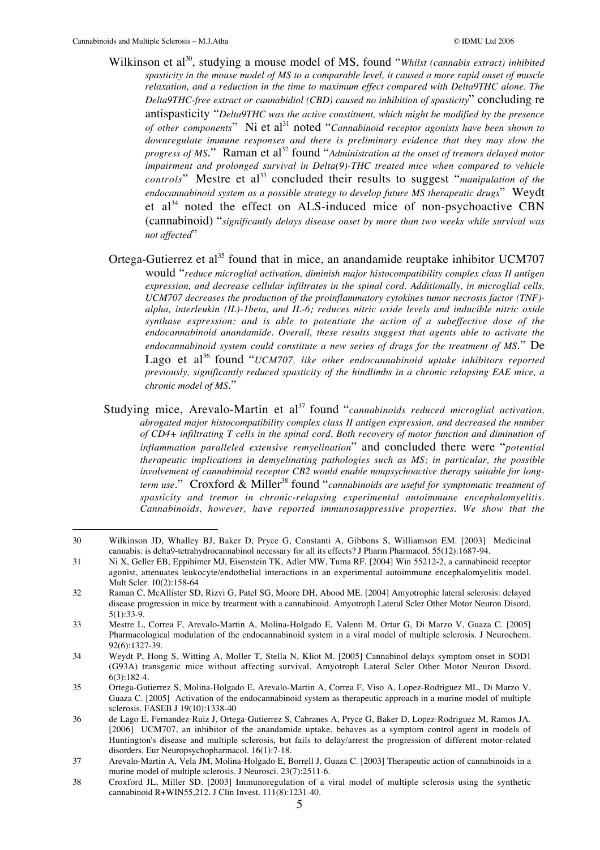- Wilkinson et al<sup>30</sup>, studying a mouse model of MS, found "*Whilst (cannabis extract) inhibited spasticity in the mouse model of MS to a comparable level, it caused a more rapid onset of muscle relaxation, and a reduction in the time to maximum effect compared with Delta9THC alone. The Delta9THC-free extract or cannabidiol (CBD) caused no inhibition of spasticity*" concluding re antispasticity "*Delta9THC was the active constituent, which might be modified by the presence of other components*" Ni et al<sup>31</sup> noted "*Cannabinoid receptor agonists have been shown to downregulate immune responses and there is preliminary evidence that they may slow the progress of MS*." Raman et al<sup>32</sup> found "*Administration at the onset of tremors delayed motor impairment and prolonged survival in Delta(9)-THC treated mice when compared to vehicle controls*" Mestre et al<sup>33</sup> concluded their results to suggest "*manipulation of the endocannabinoid system as a possible strategy to develop future MS therapeutic drugs*" Weydt et  $al<sup>34</sup>$  noted the effect on ALS-induced mice of non-psychoactive CBN (cannabinoid) "*significantly delays disease onset by more than two weeks while survival was not affected*"
- Ortega-Gutierrez et al<sup>35</sup> found that in mice, an anandamide reuptake inhibitor UCM707 would "*reduce microglial activation, diminish major histocompatibility complex class II antigen expression, and decrease cellular infiltrates in the spinal cord. Additionally, in microglial cells, UCM707 decreases the production of the proinflammatory cytokines tumor necrosis factor (TNF) alpha, interleukin (IL)-1beta, and IL-6; reduces nitric oxide levels and inducible nitric oxide synthase expression; and is able to potentiate the action of a subeffective dose of the endocannabinoid anandamide. Overall, these results suggest that agents able to activate the endocannabinoid system could constitute a new series of drugs for the treatment of MS*." De Lago et al<sup>36</sup> found "*UCM707*, like other endocannabinoid uptake inhibitors reported *previously, significantly reduced spasticity of the hindlimbs in a chronic relapsing EAE mice, a chronic model of MS*."
- Studying mice, Arevalo-Martin et al<sup>37</sup> found "*cannabinoids reduced microglial activation*, *abrogated major histocompatibility complex class II antigen expression, and decreased the number of CD4+ infiltrating T cells in the spinal cord. Both recovery of motor function and diminution of inflammation paralleled extensive remyelination*" and concluded there were "*potential therapeutic implications in demyelinating pathologies such as MS; in particular, the possible involvement of cannabinoid receptor CB2 would enable nonpsychoactive therapy suitable for longterm use.*" Croxford & Miller<sup>38</sup> found "*cannabinoids are useful for symptomatic treatment of spasticity and tremor in chronic-relapsing experimental autoimmune encephalomyelitis. Cannabinoids, however, have reported immunosuppressive properties. We show that the*

 <sup>30</sup> Wilkinson JD, Whalley BJ, Baker D, Pryce G, Constanti A, Gibbons S, Williamson EM. [2003] Medicinal cannabis: is delta9-tetrahydrocannabinol necessary for all its effects? J Pharm Pharmacol. 55(12):1687-94.

<sup>31</sup> Ni X, Geller EB, Eppihimer MJ, Eisenstein TK, Adler MW, Tuma RF. [2004] Win 55212-2, a cannabinoid receptor agonist, attenuates leukocyte/endothelial interactions in an experimental autoimmune encephalomyelitis model. Mult Scler. 10(2):158-64

<sup>32</sup> Raman C, McAllister SD, Rizvi G, Patel SG, Moore DH, Abood ME. [2004] Amyotrophic lateral sclerosis: delayed disease progression in mice by treatment with a cannabinoid. Amyotroph Lateral Scler Other Motor Neuron Disord. 5(1):33-9.

<sup>33</sup> Mestre L, Correa F, Arevalo-Martin A, Molina-Holgado E, Valenti M, Ortar G, Di Marzo V, Guaza C. [2005] Pharmacological modulation of the endocannabinoid system in a viral model of multiple sclerosis. J Neurochem. 92(6):1327-39.

<sup>34</sup> Weydt P, Hong S, Witting A, Moller T, Stella N, Kliot M. [2005] Cannabinol delays symptom onset in SOD1 (G93A) transgenic mice without affecting survival. Amyotroph Lateral Scler Other Motor Neuron Disord. 6(3):182-4.

<sup>35</sup> Ortega-Gutierrez S, Molina-Holgado E, Arevalo-Martin A, Correa F, Viso A, Lopez-Rodriguez ML, Di Marzo V, Guaza C. [2005] Activation of the endocannabinoid system as therapeutic approach in a murine model of multiple sclerosis. FASEB J 19(10):1338-40

<sup>36</sup> de Lago E, Fernandez-Ruiz J, Ortega-Gutierrez S, Cabranes A, Pryce G, Baker D, Lopez-Rodriguez M, Ramos JA. [2006] UCM707, an inhibitor of the anandamide uptake, behaves as a symptom control agent in models of Huntington's disease and multiple sclerosis, but fails to delay/arrest the progression of different motor-related disorders. Eur Neuropsychopharmacol. 16(1):7-18.

<sup>37</sup> Arevalo-Martin A, Vela JM, Molina-Holgado E, Borrell J, Guaza C. [2003] Therapeutic action of cannabinoids in a murine model of multiple sclerosis. J Neurosci. 23(7):2511-6.

<sup>38</sup> Croxford JL, Miller SD. [2003] Immunoregulation of a viral model of multiple sclerosis using the synthetic cannabinoid R+WIN55,212. J Clin Invest. 111(8):1231-40.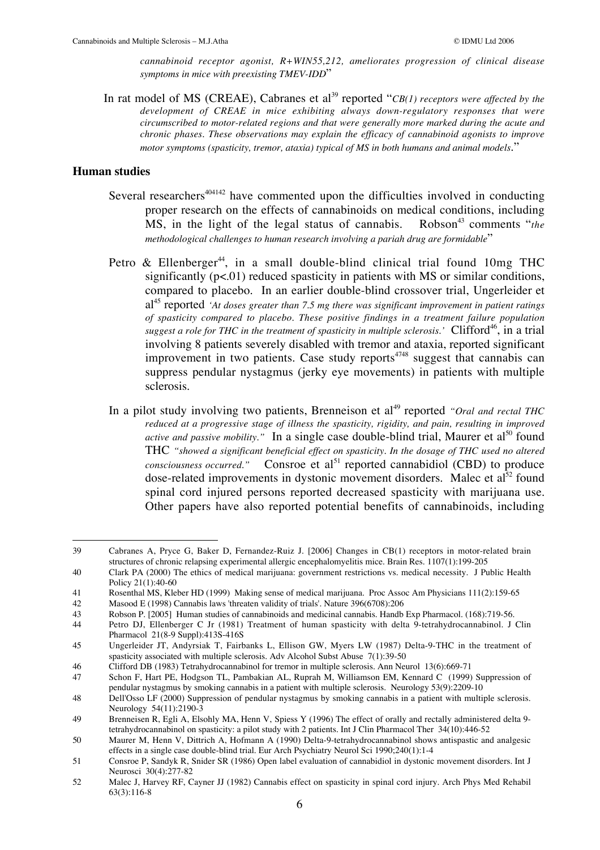*cannabinoid receptor agonist, R+WIN55,212, ameliorates progression of clinical disease symptoms in mice with preexisting TMEV-IDD*"

In rat model of MS (CREAE), Cabranes et al<sup>39</sup> reported "*CB(1) receptors were affected by the development of CREAE in mice exhibiting always down-regulatory responses that were circumscribed to motor-related regions and that were generally more marked during the acute and chronic phases. These observations may explain the efficacy of cannabinoid agonists to improve motor symptoms (spasticity, tremor, ataxia) typical of MS in both humans and animal models*."

#### **Human studies**

- Several researchers<sup> $404142$ </sup> have commented upon the difficulties involved in conducting proper research on the effects of cannabinoids on medical conditions, including MS, in the light of the legal status of cannabis. Robson<sup>43</sup> comments "*the methodological challenges to human research involving a pariah drug are formidable*"
- Petro & Ellenberger<sup>44</sup>, in a small double-blind clinical trial found 10mg THC significantly (p<.01) reduced spasticity in patients with MS or similar conditions, compared to placebo. In an earlier double-blind crossover trial, Ungerleider et al45 reported *'At doses greater than 7.5 mg there was significant improvement in patient ratings of spasticity compared to placebo. These positive findings in a treatment failure population* suggest a role for THC in the treatment of spasticity in multiple sclerosis.'  $\rm Clifford^{46},$  in a trial involving 8 patients severely disabled with tremor and ataxia, reported significant improvement in two patients. Case study reports $4748$  suggest that cannabis can suppress pendular nystagmus (jerky eye movements) in patients with multiple sclerosis.
- In a pilot study involving two patients, Brenneison et al<sup>49</sup> reported *"Oral and rectal THC reduced at a progressive stage of illness the spasticity, rigidity, and pain, resulting in improved active and passive mobility.*" In a single case double-blind trial, Maurer et al<sup>50</sup> found THC *"showed a significant beneficial effect on spasticity. In the dosage of THC used no altered consciousness occurred."* Consroe et al<sup>51</sup> reported cannabidiol (CBD) to produce dose-related improvements in dystonic movement disorders. Malec et  $al^{52}$  found spinal cord injured persons reported decreased spasticity with marijuana use. Other papers have also reported potential benefits of cannabinoids, including

 <sup>39</sup> Cabranes A, Pryce G, Baker D, Fernandez-Ruiz J. [2006] Changes in CB(1) receptors in motor-related brain structures of chronic relapsing experimental allergic encephalomyelitis mice. Brain Res. 1107(1):199-205

<sup>40</sup> Clark PA (2000) The ethics of medical marijuana: government restrictions vs. medical necessity. J Public Health Policy 21(1):40-60

<sup>41</sup> Rosenthal MS, Kleber HD (1999) Making sense of medical marijuana. Proc Assoc Am Physicians 111(2):159-65<br>42 Masood E (1998) Cannabis laws 'threaten validity of trials'. Nature 396(6708):206

<sup>42</sup> Masood E (1998) Cannabis laws 'threaten validity of trials'. Nature 396(6708):206

<sup>43</sup> Robson P. [2005] Human studies of cannabinoids and medicinal cannabis. Handb Exp Pharmacol. (168):719-56.

Petro DJ, Ellenberger C Jr (1981) Treatment of human spasticity with delta 9-tetrahydrocannabinol. J Clin Pharmacol 21(8-9 Suppl):413S-416S

<sup>45</sup> Ungerleider JT, Andyrsiak T, Fairbanks L, Ellison GW, Myers LW (1987) Delta-9-THC in the treatment of spasticity associated with multiple sclerosis. Adv Alcohol Subst Abuse 7(1):39-50

<sup>46</sup> Clifford DB (1983) Tetrahydrocannabinol for tremor in multiple sclerosis. Ann Neurol 13(6):669-71

<sup>47</sup> Schon F, Hart PE, Hodgson TL, Pambakian AL, Ruprah M, Williamson EM, Kennard C (1999) Suppression of pendular nystagmus by smoking cannabis in a patient with multiple sclerosis. Neurology 53(9):2209-10

<sup>48</sup> Dell'Osso LF (2000) Suppression of pendular nystagmus by smoking cannabis in a patient with multiple sclerosis. Neurology 54(11):2190-3

<sup>49</sup> Brenneisen R, Egli A, Elsohly MA, Henn V, Spiess Y (1996) The effect of orally and rectally administered delta 9 tetrahydrocannabinol on spasticity: a pilot study with 2 patients. Int J Clin Pharmacol Ther 34(10):446-52

<sup>50</sup> Maurer M, Henn V, Dittrich A, Hofmann A (1990) Delta-9-tetrahydrocannabinol shows antispastic and analgesic effects in a single case double-blind trial. Eur Arch Psychiatry Neurol Sci 1990;240(1):1-4

<sup>51</sup> Consroe P, Sandyk R, Snider SR (1986) Open label evaluation of cannabidiol in dystonic movement disorders. Int J Neurosci 30(4):277-82

<sup>52</sup> Malec J, Harvey RF, Cayner JJ (1982) Cannabis effect on spasticity in spinal cord injury. Arch Phys Med Rehabil 63(3):116-8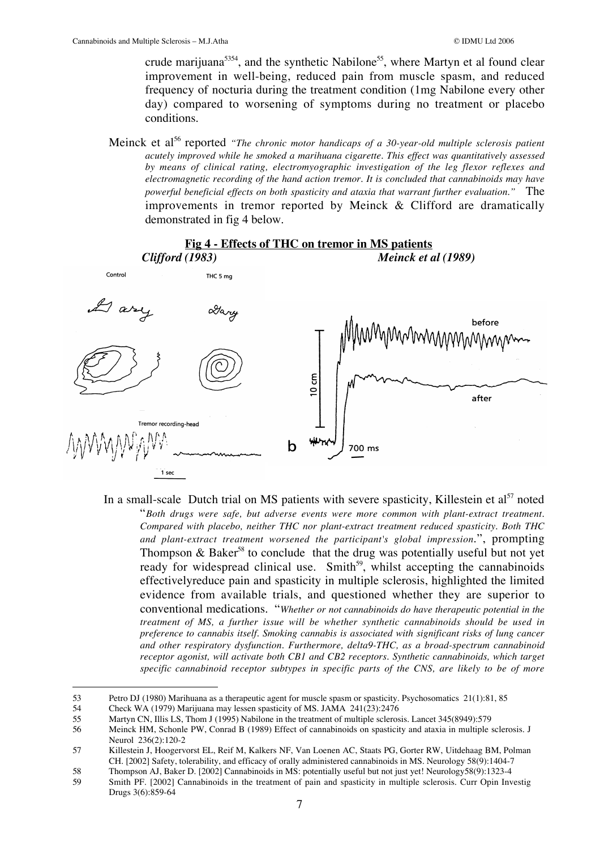crude marijuana<sup>5354</sup>, and the synthetic Nabilone<sup>55</sup>, where Martyn et al found clear improvement in well-being, reduced pain from muscle spasm, and reduced frequency of nocturia during the treatment condition (1mg Nabilone every other day) compared to worsening of symptoms during no treatment or placebo conditions.

Meinck et al<sup>56</sup> reported *"The chronic motor handicaps of a 30-year-old multiple sclerosis patient acutely improved while he smoked a marihuana cigarette. This effect was quantitatively assessed by means of clinical rating, electromyographic investigation of the leg flexor reflexes and electromagnetic recording of the hand action tremor. It is concluded that cannabinoids may have powerful beneficial effects on both spasticity and ataxia that warrant further evaluation."* The improvements in tremor reported by Meinck & Clifford are dramatically demonstrated in fig 4 below.



In a small-scale Dutch trial on MS patients with severe spasticity, Killestein et  $a^{57}$  noted "*Both drugs were safe, but adverse events were more common with plant-extract treatment. Compared with placebo, neither THC nor plant-extract treatment reduced spasticity. Both THC and plant-extract treatment worsened the participant's global impression*.", prompting Thompson  $\&$  Baker<sup>58</sup> to conclude that the drug was potentially useful but not yet ready for widespread clinical use. Smith<sup>59</sup>, whilst accepting the cannabinoids effectivelyreduce pain and spasticity in multiple sclerosis, highlighted the limited evidence from available trials, and questioned whether they are superior to conventional medications. "*Whether or not cannabinoids do have therapeutic potential in the treatment of MS, a further issue will be whether synthetic cannabinoids should be used in preference to cannabis itself. Smoking cannabis is associated with significant risks of lung cancer and other respiratory dysfunction. Furthermore, delta9-THC, as a broad-spectrum cannabinoid receptor agonist, will activate both CB1 and CB2 receptors. Synthetic cannabinoids, which target specific cannabinoid receptor subtypes in specific parts of the CNS, are likely to be of more*

<sup>53</sup> Petro DJ (1980) Marihuana as a therapeutic agent for muscle spasm or spasticity. Psychosomatics 21(1):81, 85<br>54 Check WA (1979) Marijuana may lessen spasticity of MS. JAMA 241(23):2476

<sup>54</sup> Check WA (1979) Marijuana may lessen spasticity of MS. JAMA 241(23):2476

<sup>55</sup> Martyn CN, Illis LS, Thom J (1995) Nabilone in the treatment of multiple sclerosis. Lancet 345(8949):579

<sup>56</sup> Meinck HM, Schonle PW, Conrad B (1989) Effect of cannabinoids on spasticity and ataxia in multiple sclerosis. J Neurol 236(2):120-2

<sup>57</sup> Killestein J, Hoogervorst EL, Reif M, Kalkers NF, Van Loenen AC, Staats PG, Gorter RW, Uitdehaag BM, Polman CH. [2002] Safety, tolerability, and efficacy of orally administered cannabinoids in MS. Neurology 58(9):1404-7

<sup>58</sup> Thompson AJ, Baker D. [2002] Cannabinoids in MS: potentially useful but not just yet! Neurology58(9):1323-4<br>59 Smith PF. [2002] Cannabinoids in the treatment of pain and spasticity in multiple sclerosis. Curr Opin Inv

Smith PF. [2002] Cannabinoids in the treatment of pain and spasticity in multiple sclerosis. Curr Opin Investig Drugs 3(6):859-64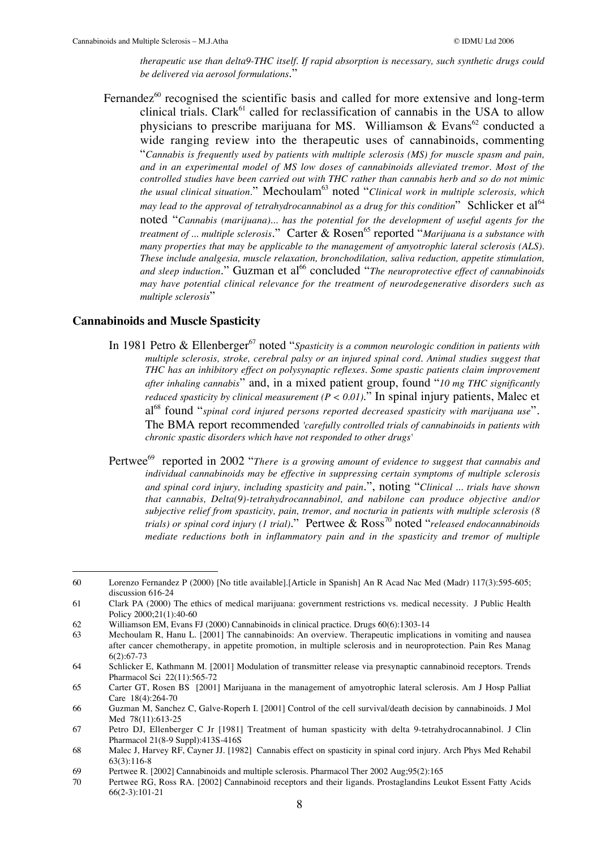*therapeutic use than delta9-THC itself. If rapid absorption is necessary, such synthetic drugs could be delivered via aerosol formulations*."

Fernandez $60$  recognised the scientific basis and called for more extensive and long-term clinical trials. Clark $^{61}$  called for reclassification of cannabis in the USA to allow physicians to prescribe marijuana for MS. Williamson & Evans<sup>62</sup> conducted a wide ranging review into the therapeutic uses of cannabinoids, commenting "*Cannabis is frequently used by patients with multiple sclerosis (MS) for muscle spasm and pain, and in an experimental model of MS low doses of cannabinoids alleviated tremor. Most of the controlled studies have been carried out with THC rather than cannabis herb and so do not mimic the usual clinical situation.*" Mechoulam<sup>63</sup> noted "*Clinical work in multiple sclerosis, which may lead to the approval of tetrahydrocannabinol as a drug for this condition*" Schlicker et al<sup>64</sup> noted "*Cannabis (marijuana)... has the potential for the development of useful agents for the treatment of ... multiple sclerosis.*" Carter & Rosen<sup>65</sup> reported "*Marijuana is a substance with many properties that may be applicable to the management of amyotrophic lateral sclerosis (ALS). These include analgesia, muscle relaxation, bronchodilation, saliva reduction, appetite stimulation,* and sleep induction." Guzman et al<sup>66</sup> concluded "*The neuroprotective effect of cannabinoids may have potential clinical relevance for the treatment of neurodegenerative disorders such as multiple sclerosis*"

#### **Cannabinoids and Muscle Spasticity**

- In 1981 Petro & Ellenberger<sup>67</sup> noted "*Spasticity is a common neurologic condition in patients with multiple sclerosis, stroke, cerebral palsy or an injured spinal cord. Animal studies suggest that THC has an inhibitory effect on polysynaptic reflexes. Some spastic patients claim improvement after inhaling cannabis*" and, in a mixed patient group, found "*10 mg THC significantly reduced spasticity by clinical measurement (P < 0.01)*." In spinal injury patients, Malec et al<sup>68</sup> found "spinal cord injured persons reported decreased spasticity with marijuana use". The BMA report recommended *'carefully controlled trials of cannabinoids in patients with chronic spastic disorders which have not responded to other drugs'*
- Pertwee<sup>69</sup> reported in 2002 "There is a growing amount of evidence to suggest that cannabis and *individual cannabinoids may be effective in suppressing certain symptoms of multiple sclerosis and spinal cord injury, including spasticity and pain*.", noting "*Clinical ... trials have shown that cannabis, Delta(9)-tetrahydrocannabinol, and nabilone can produce objective and/or subjective relief from spasticity, pain, tremor, and nocturia in patients with multiple sclerosis (8 trials) or spinal cord injury (1 trial).*" Pertwee & Ross<sup>70</sup> noted "*released endocannabinoids mediate reductions both in inflammatory pain and in the spasticity and tremor of multiple*

 <sup>60</sup> Lorenzo Fernandez P (2000) [No title available].[Article in Spanish] An R Acad Nac Med (Madr) 117(3):595-605; discussion 616-24

<sup>61</sup> Clark PA (2000) The ethics of medical marijuana: government restrictions vs. medical necessity. J Public Health Policy 2000;21(1):40-60

<sup>62</sup> Williamson EM, Evans FJ (2000) Cannabinoids in clinical practice. Drugs 60(6):1303-14<br>63 Mechaulam R. Hanu L. 120011 The cannabinoids: An overview Theraneutic implication

Mechoulam R, Hanu L. [2001] The cannabinoids: An overview. Therapeutic implications in vomiting and nausea after cancer chemotherapy, in appetite promotion, in multiple sclerosis and in neuroprotection. Pain Res Manag 6(2):67-73

<sup>64</sup> Schlicker E, Kathmann M. [2001] Modulation of transmitter release via presynaptic cannabinoid receptors. Trends Pharmacol Sci 22(11):565-72

<sup>65</sup> Carter GT, Rosen BS [2001] Marijuana in the management of amyotrophic lateral sclerosis. Am J Hosp Palliat Care 18(4):264-70

<sup>66</sup> Guzman M, Sanchez C, Galve-Roperh I. [2001] Control of the cell survival/death decision by cannabinoids. J Mol Med 78(11):613-25

<sup>67</sup> Petro DJ, Ellenberger C Jr [1981] Treatment of human spasticity with delta 9-tetrahydrocannabinol. J Clin Pharmacol 21(8-9 Suppl):413S-416S

<sup>68</sup> Malec J, Harvey RF, Cayner JJ. [1982] Cannabis effect on spasticity in spinal cord injury. Arch Phys Med Rehabil 63(3):116-8

<sup>69</sup> Pertwee R. [2002] Cannabinoids and multiple sclerosis. Pharmacol Ther 2002 Aug;95(2):165<br>70 Pertwee RG. Ross RA. [2002] Cannabinoid receptors and their ligands. Prostaglandins Let

Pertwee RG, Ross RA. [2002] Cannabinoid receptors and their ligands. Prostaglandins Leukot Essent Fatty Acids 66(2-3):101-21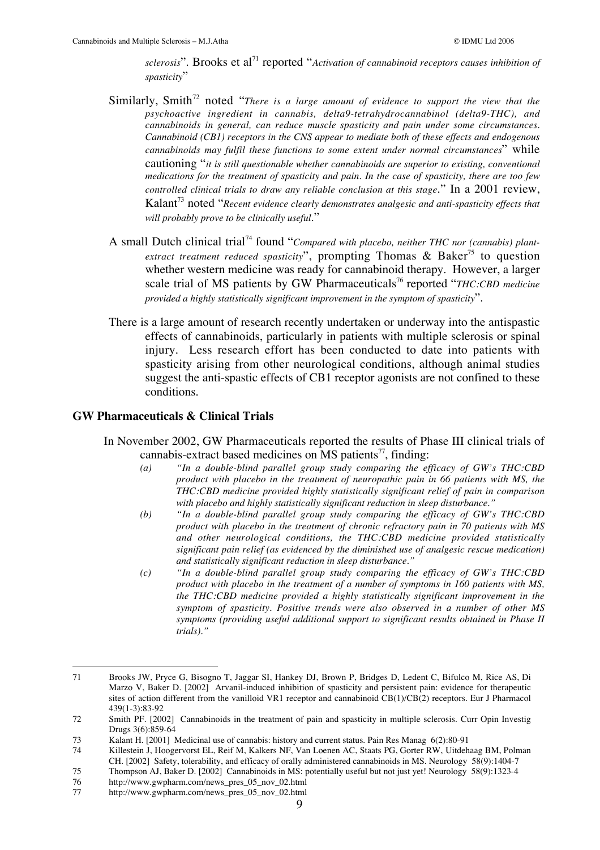sclerosis". Brooks et al<sup>71</sup> reported "Activation of cannabinoid receptors causes inhibition of *spasticity*"

- Similarly, Smith<sup>72</sup> noted "There is a large amount of evidence to support the view that the *psychoactive ingredient in cannabis, delta9-tetrahydrocannabinol (delta9-THC), and cannabinoids in general, can reduce muscle spasticity and pain under some circumstances. Cannabinoid (CB1) receptors in the CNS appear to mediate both of these effects and endogenous cannabinoids may fulfil these functions to some extent under normal circumstances*" while cautioning "*it is still questionable whether cannabinoids are superior to existing, conventional medications for the treatment of spasticity and pain. In the case of spasticity, there are too few controlled clinical trials to draw any reliable conclusion at this stage*." In a 2001 review, Kalant73 noted "*Recent evidence clearly demonstrates analgesic and anti-spasticity effects that will probably prove to be clinically useful*."
- A small Dutch clinical trial<sup>74</sup> found "*Compared with placebo, neither THC nor (cannabis) plantextract treatment reduced spasticity*", prompting Thomas & Baker<sup>75</sup> to question whether western medicine was ready for cannabinoid therapy. However, a larger scale trial of MS patients by GW Pharmaceuticals<sup>76</sup> reported "*THC:CBD medicine provided a highly statistically significant improvement in the symptom of spasticity*".
- There is a large amount of research recently undertaken or underway into the antispastic effects of cannabinoids, particularly in patients with multiple sclerosis or spinal injury. Less research effort has been conducted to date into patients with spasticity arising from other neurological conditions, although animal studies suggest the anti-spastic effects of CB1 receptor agonists are not confined to these conditions.

#### **GW Pharmaceuticals & Clinical Trials**

- In November 2002, GW Pharmaceuticals reported the results of Phase III clinical trials of cannabis-extract based medicines on MS patients<sup>77</sup>, finding:
	- *(a) "In a double-blind parallel group study comparing the efficacy of GW's THC:CBD product with placebo in the treatment of neuropathic pain in 66 patients with MS, the THC:CBD medicine provided highly statistically significant relief of pain in comparison with placebo and highly statistically significant reduction in sleep disturbance."*
	- *(b) "In a double-blind parallel group study comparing the efficacy of GW's THC:CBD product with placebo in the treatment of chronic refractory pain in 70 patients with MS and other neurological conditions, the THC:CBD medicine provided statistically significant pain relief (as evidenced by the diminished use of analgesic rescue medication) and statistically significant reduction in sleep disturbance."*
	- *(c) "In a double-blind parallel group study comparing the efficacy of GW's THC:CBD product with placebo in the treatment of a number of symptoms in 160 patients with MS, the THC:CBD medicine provided a highly statistically significant improvement in the symptom of spasticity. Positive trends were also observed in a number of other MS symptoms (providing useful additional support to significant results obtained in Phase II trials)."*

 <sup>71</sup> Brooks JW, Pryce G, Bisogno T, Jaggar SI, Hankey DJ, Brown P, Bridges D, Ledent C, Bifulco M, Rice AS, Di Marzo V, Baker D. [2002] Arvanil-induced inhibition of spasticity and persistent pain: evidence for therapeutic sites of action different from the vanilloid VR1 receptor and cannabinoid CB(1)/CB(2) receptors. Eur J Pharmacol 439(1-3):83-92

<sup>72</sup> Smith PF. [2002] Cannabinoids in the treatment of pain and spasticity in multiple sclerosis. Curr Opin Investig Drugs 3(6):859-64

<sup>73</sup> Kalant H. [2001] Medicinal use of cannabis: history and current status. Pain Res Manag 6(2):80-91

<sup>74</sup> Killestein J, Hoogervorst EL, Reif M, Kalkers NF, Van Loenen AC, Staats PG, Gorter RW, Uitdehaag BM, Polman CH. [2002] Safety, tolerability, and efficacy of orally administered cannabinoids in MS. Neurology 58(9):1404-7

<sup>75</sup> Thompson AJ, Baker D. [2002] Cannabinoids in MS: potentially useful but not just yet! Neurology 58(9):1323-4

<sup>76</sup> http://www.gwpharm.com/news\_pres\_05\_nov\_02.html

http://www.gwpharm.com/news\_pres\_05\_nov\_02.html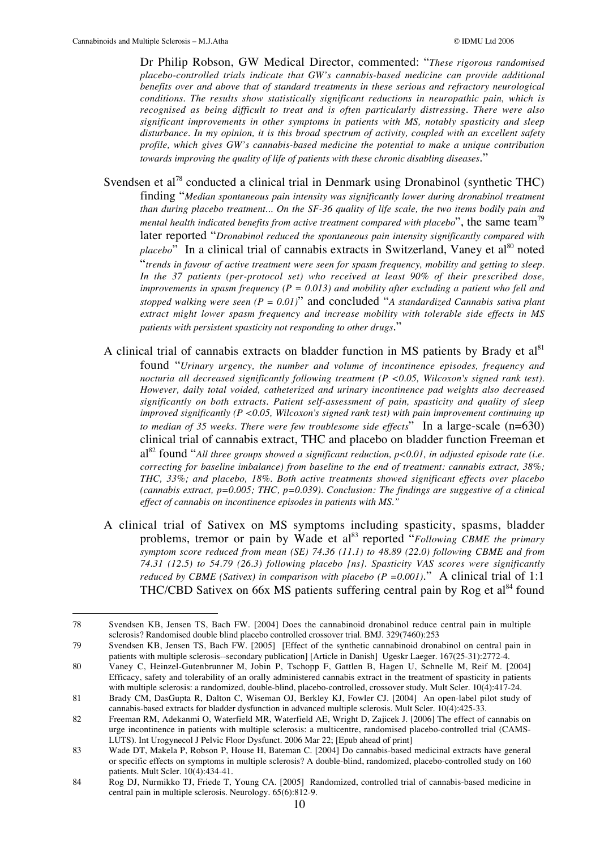Dr Philip Robson, GW Medical Director, commented: "*These rigorous randomised placebo-controlled trials indicate that GW's cannabis-based medicine can provide additional benefits over and above that of standard treatments in these serious and refractory neurological conditions. The results show statistically significant reductions in neuropathic pain, which is recognised as being difficult to treat and is often particularly distressing. There were also significant improvements in other symptoms in patients with MS, notably spasticity and sleep disturbance. In my opinion, it is this broad spectrum of activity, coupled with an excellent safety profile, which gives GW's cannabis-based medicine the potential to make a unique contribution towards improving the quality of life of patients with these chronic disabling diseases*."

Svendsen et al<sup>78</sup> conducted a clinical trial in Denmark using Dronabinol (synthetic THC) finding "*Median spontaneous pain intensity was significantly lower during dronabinol treatment than during placebo treatment... On the SF-36 quality of life scale, the two items bodily pain and mental health indicated benefits from active treatment compared with placebo*", the same team<sup>79</sup> later reported "*Dronabinol reduced the spontaneous pain intensity significantly compared with placebo*" In a clinical trial of cannabis extracts in Switzerland, Vaney et al<sup>80</sup> noted "*trends in favour of active treatment were seen for spasm frequency, mobility and getting to sleep. In the 37 patients (per-protocol set) who received at least 90% of their prescribed dose, improvements in spasm frequency (P = 0.013) and mobility after excluding a patient who fell and stopped walking were seen (P = 0.01)*" and concluded "*A standardized Cannabis sativa plant extract might lower spasm frequency and increase mobility with tolerable side effects in MS patients with persistent spasticity not responding to other drugs*."

- A clinical trial of cannabis extracts on bladder function in MS patients by Brady et  $al<sup>81</sup>$ found "*Urinary urgency, the number and volume of incontinence episodes, frequency and nocturia all decreased significantly following treatment (P <0.05, Wilcoxon's signed rank test). However, daily total voided, catheterized and urinary incontinence pad weights also decreased significantly on both extracts. Patient self-assessment of pain, spasticity and quality of sleep improved significantly (P <0.05, Wilcoxon's signed rank test) with pain improvement continuing up to median of 35 weeks. There were few troublesome side effects*" In a large-scale (n=630) clinical trial of cannabis extract, THC and placebo on bladder function Freeman et al<sup>82</sup> found "*All three groups showed a significant reduction, p<0.01, in adjusted episode rate (i.e. correcting for baseline imbalance) from baseline to the end of treatment: cannabis extract, 38%; THC, 33%; and placebo, 18%. Both active treatments showed significant effects over placebo (cannabis extract, p=0.005; THC, p=0.039). Conclusion: The findings are suggestive of a clinical effect of cannabis on incontinence episodes in patients with MS."*
- A clinical trial of Sativex on MS symptoms including spasticity, spasms, bladder problems, tremor or pain by Wade et al<sup>83</sup> reported "*Following CBME the primary symptom score reduced from mean (SE) 74.36 (11.1) to 48.89 (22.0) following CBME and from 74.31 (12.5) to 54.79 (26.3) following placebo [ns]. Spasticity VAS scores were significantly reduced by CBME (Sativex) in comparison with placebo (P =*  $0.001$ *).*" A clinical trial of 1:1 THC/CBD Sativex on 66x MS patients suffering central pain by Rog et al<sup>84</sup> found

 <sup>78</sup> Svendsen KB, Jensen TS, Bach FW. [2004] Does the cannabinoid dronabinol reduce central pain in multiple sclerosis? Randomised double blind placebo controlled crossover trial. BMJ. 329(7460):253

<sup>79</sup> Svendsen KB, Jensen TS, Bach FW. [2005] [Effect of the synthetic cannabinoid dronabinol on central pain in patients with multiple sclerosis--secondary publication] [Article in Danish] Ugeskr Laeger. 167(25-31):2772-4.

<sup>80</sup> Vaney C, Heinzel-Gutenbrunner M, Jobin P, Tschopp F, Gattlen B, Hagen U, Schnelle M, Reif M. [2004] Efficacy, safety and tolerability of an orally administered cannabis extract in the treatment of spasticity in patients with multiple sclerosis: a randomized, double-blind, placebo-controlled, crossover study. Mult Scler. 10(4):417-24.

<sup>81</sup> Brady CM, DasGupta R, Dalton C, Wiseman OJ, Berkley KJ, Fowler CJ. [2004] An open-label pilot study of cannabis-based extracts for bladder dysfunction in advanced multiple sclerosis. Mult Scler. 10(4):425-33.

<sup>82</sup> Freeman RM, Adekanmi O, Waterfield MR, Waterfield AE, Wright D, Zajicek J. [2006] The effect of cannabis on urge incontinence in patients with multiple sclerosis: a multicentre, randomised placebo-controlled trial (CAMS-LUTS). Int Urogynecol J Pelvic Floor Dysfunct. 2006 Mar 22; [Epub ahead of print]

<sup>83</sup> Wade DT, Makela P, Robson P, House H, Bateman C. [2004] Do cannabis-based medicinal extracts have general or specific effects on symptoms in multiple sclerosis? A double-blind, randomized, placebo-controlled study on 160 patients. Mult Scler. 10(4):434-41.

<sup>84</sup> Rog DJ, Nurmikko TJ, Friede T, Young CA. [2005] Randomized, controlled trial of cannabis-based medicine in central pain in multiple sclerosis. Neurology. 65(6):812-9.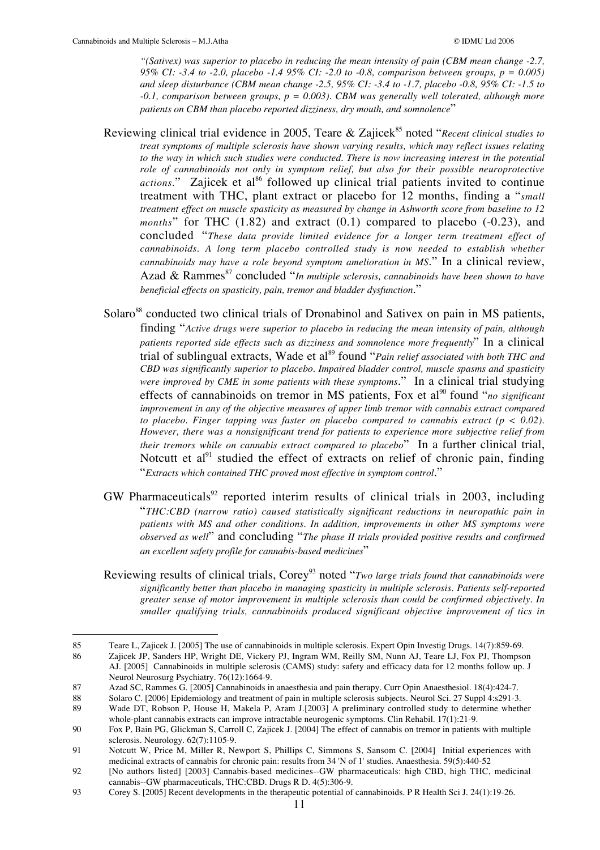*"(Sativex) was superior to placebo in reducing the mean intensity of pain (CBM mean change -2.7, 95% CI: -3.4 to -2.0, placebo -1.4 95% CI: -2.0 to -0.8, comparison between groups, p = 0.005) and sleep disturbance (CBM mean change -2.5, 95% CI: -3.4 to -1.7, placebo -0.8, 95% CI: -1.5 to -0.1, comparison between groups, p = 0.003). CBM was generally well tolerated, although more patients on CBM than placebo reported dizziness, dry mouth, and somnolence*"

- Reviewing clinical trial evidence in 2005, Teare & Zajicek<sup>85</sup> noted "*Recent clinical studies to treat symptoms of multiple sclerosis have shown varying results, which may reflect issues relating to the way in which such studies were conducted. There is now increasing interest in the potential role of cannabinoids not only in symptom relief, but also for their possible neuroprotective actions.*" Zajicek et al<sup>86</sup> followed up clinical trial patients invited to continue treatment with THC, plant extract or placebo for 12 months, finding a "*small treatment effect on muscle spasticity as measured by change in Ashworth score from baseline to 12 months*" for THC (1.82) and extract (0.1) compared to placebo (-0.23), and concluded "*These data provide limited evidence for a longer term treatment effect of cannabinoids. A long term placebo controlled study is now needed to establish whether cannabinoids may have a role beyond symptom amelioration in MS*." In a clinical review, Azad & Rammes<sup>87</sup> concluded "*In multiple sclerosis, cannabinoids have been shown to have beneficial effects on spasticity, pain, tremor and bladder dysfunction*."
- Solaro<sup>88</sup> conducted two clinical trials of Dronabinol and Sativex on pain in MS patients, finding "*Active drugs were superior to placebo in reducing the mean intensity of pain, although patients reported side effects such as dizziness and somnolence more frequently*" In a clinical trial of sublingual extracts, Wade et al<sup>89</sup> found "*Pain relief associated with both THC and CBD was significantly superior to placebo. Impaired bladder control, muscle spasms and spasticity were improved by CME in some patients with these symptoms*." In a clinical trial studying effects of cannabinoids on tremor in MS patients, Fox et al<sup>90</sup> found "*no significant improvement in any of the objective measures of upper limb tremor with cannabis extract compared to placebo. Finger tapping was faster on placebo compared to cannabis extract (p < 0.02). However, there was a nonsignificant trend for patients to experience more subjective relief from their tremors while on cannabis extract compared to placebo*" In a further clinical trial, Notcutt et al<sup>91</sup> studied the effect of extracts on relief of chronic pain, finding "*Extracts which contained THC proved most effective in symptom control*."
- $GW$  Pharmaceuticals<sup>92</sup> reported interim results of clinical trials in 2003, including "*THC:CBD (narrow ratio) caused statistically significant reductions in neuropathic pain in patients with MS and other conditions. In addition, improvements in other MS symptoms were observed as well*" and concluding "*The phase II trials provided positive results and confirmed an excellent safety profile for cannabis-based medicines*"
- Reviewing results of clinical trials, Corey<sup>93</sup> noted "*Two large trials found that cannabinoids were significantly better than placebo in managing spasticity in multiple sclerosis. Patients self-reported greater sense of motor improvement in multiple sclerosis than could be confirmed objectively. In smaller qualifying trials, cannabinoids produced significant objective improvement of tics in*

 <sup>85</sup> Teare L, Zajicek J. [2005] The use of cannabinoids in multiple sclerosis. Expert Opin Investig Drugs. 14(7):859-69.

<sup>86</sup> Zajicek JP, Sanders HP, Wright DE, Vickery PJ, Ingram WM, Reilly SM, Nunn AJ, Teare LJ, Fox PJ, Thompson AJ. [2005] Cannabinoids in multiple sclerosis (CAMS) study: safety and efficacy data for 12 months follow up. J Neurol Neurosurg Psychiatry. 76(12):1664-9.

<sup>87</sup> Azad SC, Rammes G. [2005] Cannabinoids in anaesthesia and pain therapy. Curr Opin Anaesthesiol. 18(4):424-7.<br>88 Solaro C. [2006] Epidemiology and treatment of pain in multiple sclerosis subjects. Neurol Sci. 27 Suppl 4:

<sup>88</sup> Solaro C. [2006] Epidemiology and treatment of pain in multiple sclerosis subjects. Neurol Sci. 27 Suppl 4:s291-3.

<sup>89</sup> Wade DT, Robson P, House H, Makela P, Aram J.[2003] A preliminary controlled study to determine whether whole-plant cannabis extracts can improve intractable neurogenic symptoms. Clin Rehabil. 17(1):21-9.

<sup>90</sup> Fox P, Bain PG, Glickman S, Carroll C, Zajicek J. [2004] The effect of cannabis on tremor in patients with multiple sclerosis. Neurology. 62(7):1105-9.

<sup>91</sup> Notcutt W, Price M, Miller R, Newport S, Phillips C, Simmons S, Sansom C. [2004] Initial experiences with medicinal extracts of cannabis for chronic pain: results from 34 'N of 1' studies. Anaesthesia. 59(5):440-52

<sup>92</sup> [No authors listed] [2003] Cannabis-based medicines--GW pharmaceuticals: high CBD, high THC, medicinal cannabis--GW pharmaceuticals, THC:CBD. Drugs R D. 4(5):306-9.

<sup>93</sup> Corey S. [2005] Recent developments in the therapeutic potential of cannabinoids. P R Health Sci J. 24(1):19-26.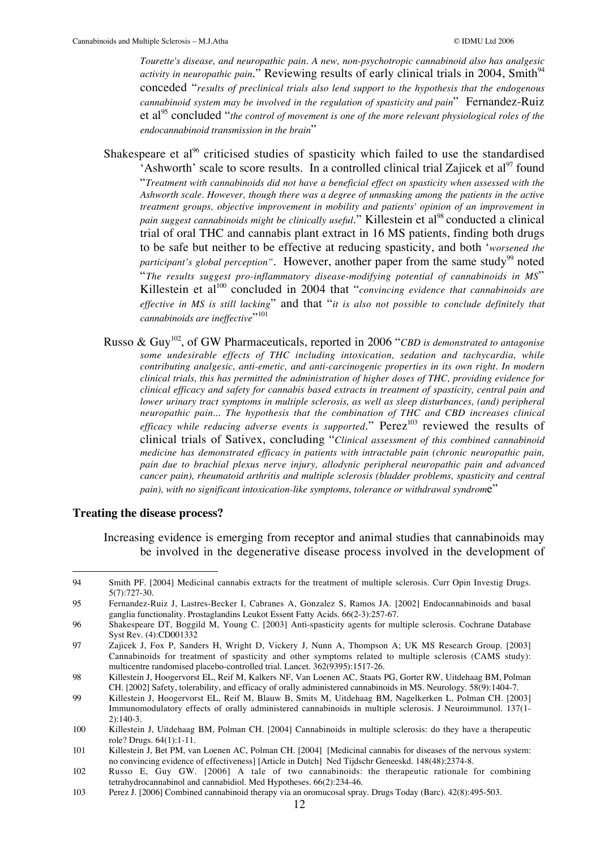*Tourette's disease, and neuropathic pain. A new, non-psychotropic cannabinoid also has analgesic activity in neuropathic pain.*" Reviewing results of early clinical trials in 2004, Smith<sup>94</sup> conceded "*results of preclinical trials also lend support to the hypothesis that the endogenous cannabinoid system may be involved in the regulation of spasticity and pain*" Fernandez-Ruiz et al<sup>95</sup> concluded "*the control of movement is one of the more relevant physiological roles of the endocannabinoid transmission in the brain*"

- Shakespeare et al<sup>96</sup> criticised studies of spasticity which failed to use the standardised 'Ashworth' scale to score results. In a controlled clinical trial Zajicek et al<sup>97</sup> found "*Treatment with cannabinoids did not have a beneficial effect on spasticity when assessed with the Ashworth scale. However, though there was a degree of unmasking among the patients in the active treatment groups, objective improvement in mobility and patients' opinion of an improvement in pain suggest cannabinoids might be clinically useful.*" Killestein et al<sup>98</sup> conducted a clinical trial of oral THC and cannabis plant extract in 16 MS patients, finding both drugs to be safe but neither to be effective at reducing spasticity, and both '*worsened the participant's global perception"*. However, another paper from the same study<sup>99</sup> noted "*The results suggest pro-inflammatory disease-modifying potential of cannabinoids in MS*" Killestein et al<sup>100</sup> concluded in 2004 that "*convincing evidence that cannabinoids are effective in MS is still lacking*" and that "*it is also not possible to conclude definitely that cannabinoids are ineffective*"<sup>101</sup>
- Russo & Guy<sup>102</sup>, of GW Pharmaceuticals, reported in 2006 "CBD is demonstrated to antagonise *some undesirable effects of THC including intoxication, sedation and tachycardia, while contributing analgesic, anti-emetic, and anti-carcinogenic properties in its own right. In modern clinical trials, this has permitted the administration of higher doses of THC, providing evidence for clinical efficacy and safety for cannabis based extracts in treatment of spasticity, central pain and lower urinary tract symptoms in multiple sclerosis, as well as sleep disturbances, (and) peripheral neuropathic pain... The hypothesis that the combination of THC and CBD increases clinical efficacy while reducing adverse events is supported.*" Perez<sup>103</sup> reviewed the results of clinical trials of Sativex, concluding "*Clinical assessment of this combined cannabinoid medicine has demonstrated efficacy in patients with intractable pain (chronic neuropathic pain, pain due to brachial plexus nerve injury, allodynic peripheral neuropathic pain and advanced cancer pain), rheumatoid arthritis and multiple sclerosis (bladder problems, spasticity and central pain), with no significant intoxication-like symptoms, tolerance or withdrawal syndrome*"

#### **Treating the disease process?**

Increasing evidence is emerging from receptor and animal studies that cannabinoids may be involved in the degenerative disease process involved in the development of

 <sup>94</sup> Smith PF. [2004] Medicinal cannabis extracts for the treatment of multiple sclerosis. Curr Opin Investig Drugs. 5(7):727-30.

<sup>95</sup> Fernandez-Ruiz J, Lastres-Becker I, Cabranes A, Gonzalez S, Ramos JA. [2002] Endocannabinoids and basal ganglia functionality. Prostaglandins Leukot Essent Fatty Acids. 66(2-3):257-67.

<sup>96</sup> Shakespeare DT, Boggild M, Young C. [2003] Anti-spasticity agents for multiple sclerosis. Cochrane Database Syst Rev. (4):CD001332

<sup>97</sup> Zajicek J, Fox P, Sanders H, Wright D, Vickery J, Nunn A, Thompson A; UK MS Research Group. [2003] Cannabinoids for treatment of spasticity and other symptoms related to multiple sclerosis (CAMS study): multicentre randomised placebo-controlled trial. Lancet. 362(9395):1517-26.

<sup>98</sup> Killestein J, Hoogervorst EL, Reif M, Kalkers NF, Van Loenen AC, Staats PG, Gorter RW, Uitdehaag BM, Polman CH. [2002] Safety, tolerability, and efficacy of orally administered cannabinoids in MS. Neurology. 58(9):1404-7.

<sup>99</sup> Killestein J, Hoogervorst EL, Reif M, Blauw B, Smits M, Uitdehaag BM, Nagelkerken L, Polman CH. [2003] Immunomodulatory effects of orally administered cannabinoids in multiple sclerosis. J Neuroimmunol. 137(1- 2):140-3.

<sup>100</sup> Killestein J, Uitdehaag BM, Polman CH. [2004] Cannabinoids in multiple sclerosis: do they have a therapeutic role? Drugs. 64(1):1-11.

<sup>101</sup> Killestein J, Bet PM, van Loenen AC, Polman CH. [2004] [Medicinal cannabis for diseases of the nervous system: no convincing evidence of effectiveness] [Article in Dutch] Ned Tijdschr Geneeskd. 148(48):2374-8.

<sup>102</sup> Russo E, Guy GW. [2006] A tale of two cannabinoids: the therapeutic rationale for combining tetrahydrocannabinol and cannabidiol. Med Hypotheses. 66(2):234-46.

<sup>103</sup> Perez J. [2006] Combined cannabinoid therapy via an oromucosal spray. Drugs Today (Barc). 42(8):495-503.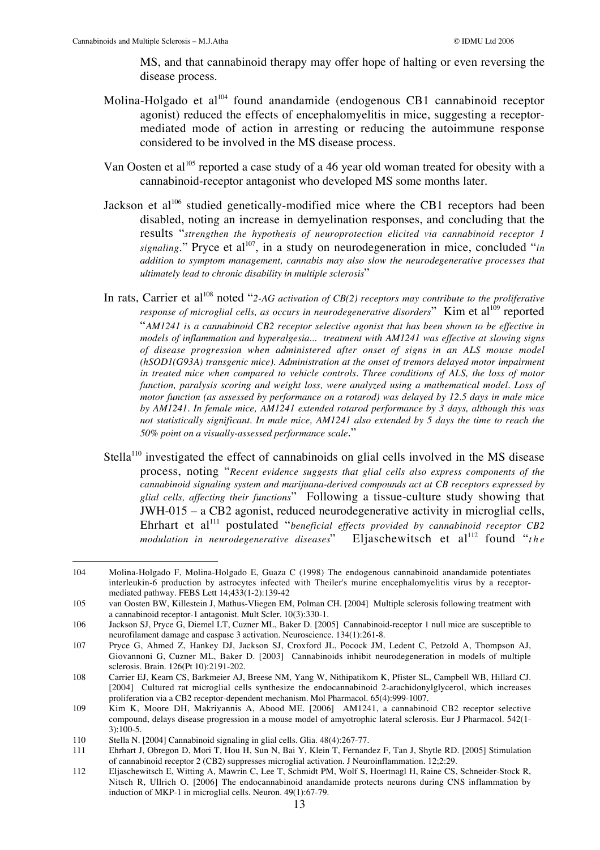MS, and that cannabinoid therapy may offer hope of halting or even reversing the disease process.

- Molina-Holgado et al<sup>104</sup> found anandamide (endogenous CB1 cannabinoid receptor agonist) reduced the effects of encephalomyelitis in mice, suggesting a receptormediated mode of action in arresting or reducing the autoimmune response considered to be involved in the MS disease process.
- Van Oosten et al<sup>105</sup> reported a case study of a 46 year old woman treated for obesity with a cannabinoid-receptor antagonist who developed MS some months later.
- Jackson et al<sup>106</sup> studied genetically-modified mice where the CB1 receptors had been disabled, noting an increase in demyelination responses, and concluding that the results "*strengthen the hypothesis of neuroprotection elicited via cannabinoid receptor 1* signaling." Pryce et al<sup>107</sup>, in a study on neurodegeneration in mice, concluded "*in addition to symptom management, cannabis may also slow the neurodegenerative processes that ultimately lead to chronic disability in multiple sclerosis*"
- In rats, Carrier et al<sup>108</sup> noted "2-AG activation of CB(2) receptors may contribute to the proliferative *response of microglial cells, as occurs in neurodegenerative disorders*" Kim et al<sup>109</sup> reported "*AM1241 is a cannabinoid CB2 receptor selective agonist that has been shown to be effective in models of inflammation and hyperalgesia... treatment with AM1241 was effective at slowing signs of disease progression when administered after onset of signs in an ALS mouse model (hSOD1(G93A) transgenic mice). Administration at the onset of tremors delayed motor impairment in treated mice when compared to vehicle controls. Three conditions of ALS, the loss of motor function, paralysis scoring and weight loss, were analyzed using a mathematical model. Loss of motor function (as assessed by performance on a rotarod) was delayed by 12.5 days in male mice by AM1241. In female mice, AM1241 extended rotarod performance by 3 days, although this was not statistically significant. In male mice, AM1241 also extended by 5 days the time to reach the 50% point on a visually-assessed performance scale*."
- Stella<sup>110</sup> investigated the effect of cannabinoids on glial cells involved in the MS disease process, noting "*Recent evidence suggests that glial cells also express components of the cannabinoid signaling system and marijuana-derived compounds act at CB receptors expressed by glial cells, affecting their functions*" Following a tissue-culture study showing that JWH-015 – a CB2 agonist, reduced neurodegenerative activity in microglial cells, Ehrhart et al<sup>111</sup> postulated "*beneficial effects provided by cannabinoid receptor CB2 modulation in neurodegenerative diseases*" Eljaschewitsch et al<sup>112</sup> found "*the*

 <sup>104</sup> Molina-Holgado F, Molina-Holgado E, Guaza C (1998) The endogenous cannabinoid anandamide potentiates interleukin-6 production by astrocytes infected with Theiler's murine encephalomyelitis virus by a receptormediated pathway. FEBS Lett 14;433(1-2):139-42

<sup>105</sup> van Oosten BW, Killestein J, Mathus-Vliegen EM, Polman CH. [2004] Multiple sclerosis following treatment with a cannabinoid receptor-1 antagonist. Mult Scler. 10(3):330-1.

<sup>106</sup> Jackson SJ, Pryce G, Diemel LT, Cuzner ML, Baker D. [2005] Cannabinoid-receptor 1 null mice are susceptible to neurofilament damage and caspase 3 activation. Neuroscience. 134(1):261-8.

<sup>107</sup> Pryce G, Ahmed Z, Hankey DJ, Jackson SJ, Croxford JL, Pocock JM, Ledent C, Petzold A, Thompson AJ, Giovannoni G, Cuzner ML, Baker D. [2003] Cannabinoids inhibit neurodegeneration in models of multiple sclerosis. Brain. 126(Pt 10):2191-202.

<sup>108</sup> Carrier EJ, Kearn CS, Barkmeier AJ, Breese NM, Yang W, Nithipatikom K, Pfister SL, Campbell WB, Hillard CJ. [2004] Cultured rat microglial cells synthesize the endocannabinoid 2-arachidonylglycerol, which increases proliferation via a CB2 receptor-dependent mechanism. Mol Pharmacol. 65(4):999-1007.

<sup>109</sup> Kim K, Moore DH, Makriyannis A, Abood ME. [2006] AM1241, a cannabinoid CB2 receptor selective compound, delays disease progression in a mouse model of amyotrophic lateral sclerosis. Eur J Pharmacol. 542(1- 3):100-5.

<sup>110</sup> Stella N. [2004] Cannabinoid signaling in glial cells. Glia. 48(4):267-77.

<sup>111</sup> Ehrhart J, Obregon D, Mori T, Hou H, Sun N, Bai Y, Klein T, Fernandez F, Tan J, Shytle RD. [2005] Stimulation of cannabinoid receptor 2 (CB2) suppresses microglial activation. J Neuroinflammation. 12;2:29.

<sup>112</sup> Eljaschewitsch E, Witting A, Mawrin C, Lee T, Schmidt PM, Wolf S, Hoertnagl H, Raine CS, Schneider-Stock R, Nitsch R, Ullrich O. [2006] The endocannabinoid anandamide protects neurons during CNS inflammation by induction of MKP-1 in microglial cells. Neuron. 49(1):67-79.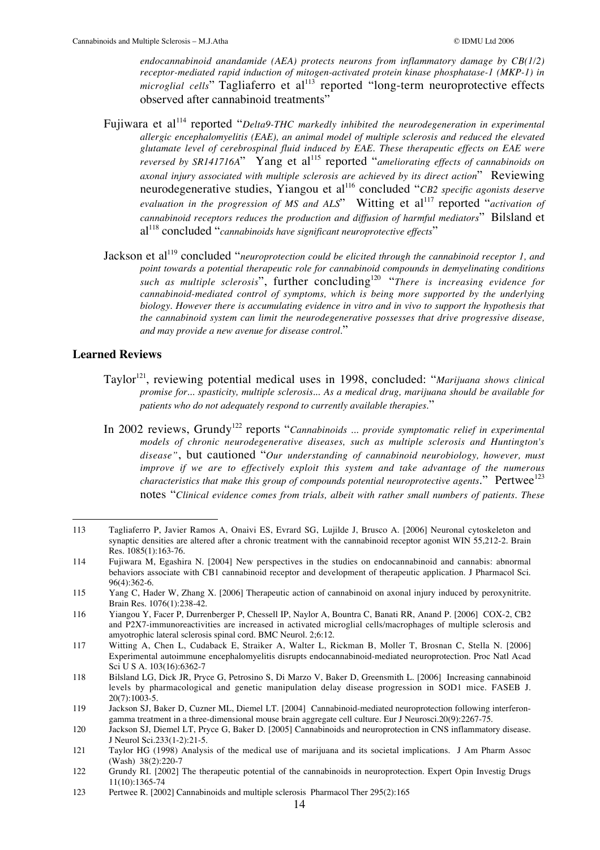*endocannabinoid anandamide (AEA) protects neurons from inflammatory damage by CB(1/2) receptor-mediated rapid induction of mitogen-activated protein kinase phosphatase-1 (MKP-1) in microglial cells*" Tagliaferro et al<sup>113</sup> reported "long-term neuroprotective effects observed after cannabinoid treatments"

- Fujiwara et al<sup>114</sup> reported "*Delta9-THC markedly inhibited the neurodegeneration in experimental allergic encephalomyelitis (EAE), an animal model of multiple sclerosis and reduced the elevated glutamate level of cerebrospinal fluid induced by EAE. These therapeutic effects on EAE were reversed by SR141716A*" Yang et al<sup>115</sup> reported "*ameliorating effects of cannabinoids on axonal injury associated with multiple sclerosis are achieved by its direct action*" Reviewing neurodegenerative studies, Yiangou et al<sup>116</sup> concluded "*CB2 specific agonists deserve evaluation in the progression of MS and ALS*" Witting et al<sup>117</sup> reported "*activation of cannabinoid receptors reduces the production and diffusion of harmful mediators*" Bilsland et al<sup>118</sup> concluded "*cannabinoids have significant neuroprotective effects*"
- Jackson et al<sup>119</sup> concluded "*neuroprotection could be elicited through the cannabinoid receptor 1, and point towards a potential therapeutic role for cannabinoid compounds in demyelinating conditions such as multiple sclerosis*", further concluding120 "*There is increasing evidence for cannabinoid-mediated control of symptoms, which is being more supported by the underlying biology. However there is accumulating evidence in vitro and in vivo to support the hypothesis that the cannabinoid system can limit the neurodegenerative possesses that drive progressive disease, and may provide a new avenue for disease control.*"

#### **Learned Reviews**

- Taylor<sup>121</sup>, reviewing potential medical uses in 1998, concluded: "Marijuana shows clinical *promise for... spasticity, multiple sclerosis... As a medical drug, marijuana should be available for patients who do not adequately respond to currently available therapies.*"
- In 2002 reviews, Grundy<sup>122</sup> reports "Cannabinoids ... provide symptomatic relief in experimental *models of chronic neurodegenerative diseases, such as multiple sclerosis and Huntington's disease"*, but cautioned "*Our understanding of cannabinoid neurobiology, however, must improve if we are to effectively exploit this system and take advantage of the numerous characteristics that make this group of compounds potential neuroprotective agents.*" Pertwee<sup>123</sup> notes "*Clinical evidence comes from trials, albeit with rather small numbers of patients. These*

 <sup>113</sup> Tagliaferro P, Javier Ramos A, Onaivi ES, Evrard SG, Lujilde J, Brusco A. [2006] Neuronal cytoskeleton and synaptic densities are altered after a chronic treatment with the cannabinoid receptor agonist WIN 55,212-2. Brain Res. 1085(1):163-76.

<sup>114</sup> Fujiwara M, Egashira N. [2004] New perspectives in the studies on endocannabinoid and cannabis: abnormal behaviors associate with CB1 cannabinoid receptor and development of therapeutic application. J Pharmacol Sci.  $96(4) \cdot 362 - 6$ 

<sup>115</sup> Yang C, Hader W, Zhang X. [2006] Therapeutic action of cannabinoid on axonal injury induced by peroxynitrite. Brain Res. 1076(1):238-42.

<sup>116</sup> Yiangou Y, Facer P, Durrenberger P, Chessell IP, Naylor A, Bountra C, Banati RR, Anand P. [2006] COX-2, CB2 and P2X7-immunoreactivities are increased in activated microglial cells/macrophages of multiple sclerosis and amyotrophic lateral sclerosis spinal cord. BMC Neurol. 2;6:12.

<sup>117</sup> Witting A, Chen L, Cudaback E, Straiker A, Walter L, Rickman B, Moller T, Brosnan C, Stella N. [2006] Experimental autoimmune encephalomyelitis disrupts endocannabinoid-mediated neuroprotection. Proc Natl Acad Sci U S A. 103(16):6362-7

<sup>118</sup> Bilsland LG, Dick JR, Pryce G, Petrosino S, Di Marzo V, Baker D, Greensmith L. [2006] Increasing cannabinoid levels by pharmacological and genetic manipulation delay disease progression in SOD1 mice. FASEB J. 20(7):1003-5.

<sup>119</sup> Jackson SJ, Baker D, Cuzner ML, Diemel LT. [2004] Cannabinoid-mediated neuroprotection following interferongamma treatment in a three-dimensional mouse brain aggregate cell culture. Eur J Neurosci.20(9):2267-75.

<sup>120</sup> Jackson SJ, Diemel LT, Pryce G, Baker D. [2005] Cannabinoids and neuroprotection in CNS inflammatory disease. J Neurol Sci.233(1-2):21-5.

<sup>121</sup> Taylor HG (1998) Analysis of the medical use of marijuana and its societal implications. J Am Pharm Assoc (Wash) 38(2):220-7

<sup>122</sup> Grundy RI. [2002] The therapeutic potential of the cannabinoids in neuroprotection. Expert Opin Investig Drugs 11(10):1365-74

<sup>123</sup> Pertwee R. [2002] Cannabinoids and multiple sclerosis Pharmacol Ther 295(2):165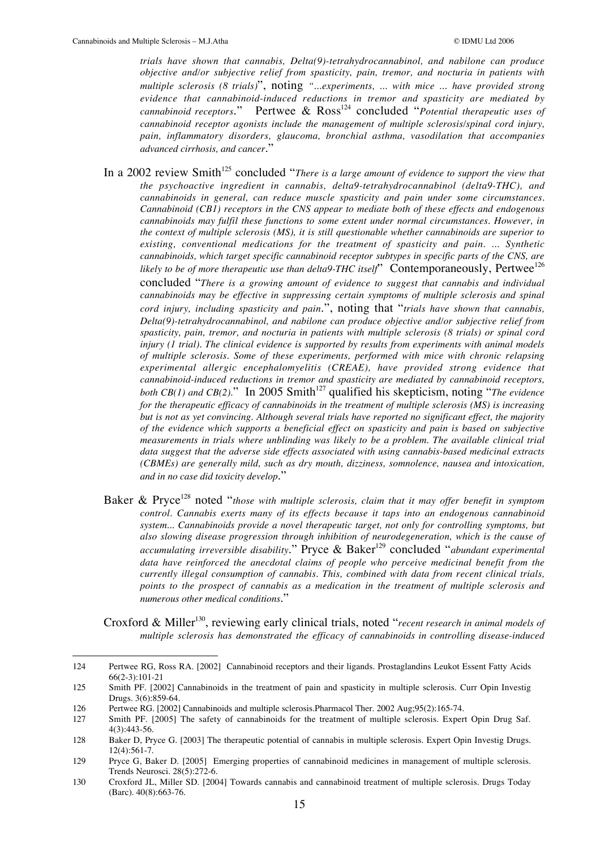*trials have shown that cannabis, Delta(9)-tetrahydrocannabinol, and nabilone can produce objective and/or subjective relief from spasticity, pain, tremor, and nocturia in patients with multiple sclerosis (8 trials)*", noting *"...experiments, ... with mice ... have provided strong evidence that cannabinoid-induced reductions in tremor and spasticity are mediated by cannabinoid receptors.*" Pertwee & Ross<sup>124</sup> concluded "*Potential therapeutic uses of cannabinoid receptor agonists include the management of multiple sclerosis/spinal cord injury, pain, inflammatory disorders, glaucoma, bronchial asthma, vasodilation that accompanies advanced cirrhosis, and cancer*."

In a 2002 review Smith<sup>125</sup> concluded "*There is a large amount of evidence to support the view that the psychoactive ingredient in cannabis, delta9-tetrahydrocannabinol (delta9-THC), and cannabinoids in general, can reduce muscle spasticity and pain under some circumstances. Cannabinoid (CB1) receptors in the CNS appear to mediate both of these effects and endogenous cannabinoids may fulfil these functions to some extent under normal circumstances. However, in the context of multiple sclerosis (MS), it is still questionable whether cannabinoids are superior to existing, conventional medications for the treatment of spasticity and pain. ... Synthetic cannabinoids, which target specific cannabinoid receptor subtypes in specific parts of the CNS, are likely to be of more therapeutic use than delta9-THC itself*" Contemporaneously, Pertwee<sup>126</sup> concluded "*There is a growing amount of evidence to suggest that cannabis and individual cannabinoids may be effective in suppressing certain symptoms of multiple sclerosis and spinal cord injury, including spasticity and pain*.", noting that "*trials have shown that cannabis, Delta(9)-tetrahydrocannabinol, and nabilone can produce objective and/or subjective relief from spasticity, pain, tremor, and nocturia in patients with multiple sclerosis (8 trials) or spinal cord injury (1 trial). The clinical evidence is supported by results from experiments with animal models of multiple sclerosis. Some of these experiments, performed with mice with chronic relapsing experimental allergic encephalomyelitis (CREAE), have provided strong evidence that cannabinoid-induced reductions in tremor and spasticity are mediated by cannabinoid receptors, both CB(1) and CB(2).*" In 2005 Smith<sup>127</sup> qualified his skepticism, noting "*The evidence for the therapeutic efficacy of cannabinoids in the treatment of multiple sclerosis (MS) is increasing but is not as yet convincing. Although several trials have reported no significant effect, the majority of the evidence which supports a beneficial effect on spasticity and pain is based on subjective measurements in trials where unblinding was likely to be a problem. The available clinical trial data suggest that the adverse side effects associated with using cannabis-based medicinal extracts (CBMEs) are generally mild, such as dry mouth, dizziness, somnolence, nausea and intoxication, and in no case did toxicity develop*."

Baker & Pryce<sup>128</sup> noted "*those with multiple sclerosis, claim that it may offer benefit in symptom control. Cannabis exerts many of its effects because it taps into an endogenous cannabinoid system... Cannabinoids provide a novel therapeutic target, not only for controlling symptoms, but also slowing disease progression through inhibition of neurodegeneration, which is the cause of accumulating irreversible disability*." Pryce & Baker<sup>129</sup> concluded "*abundant experimental data have reinforced the anecdotal claims of people who perceive medicinal benefit from the currently illegal consumption of cannabis. This, combined with data from recent clinical trials, points to the prospect of cannabis as a medication in the treatment of multiple sclerosis and numerous other medical conditions*."

Croxford & Miller<sup>130</sup>, reviewing early clinical trials, noted "*recent research in animal models of multiple sclerosis has demonstrated the efficacy of cannabinoids in controlling disease-induced*

 <sup>124</sup> Pertwee RG, Ross RA. [2002] Cannabinoid receptors and their ligands. Prostaglandins Leukot Essent Fatty Acids 66(2-3):101-21

<sup>125</sup> Smith PF. [2002] Cannabinoids in the treatment of pain and spasticity in multiple sclerosis. Curr Opin Investig Drugs. 3(6):859-64.

<sup>126</sup> Pertwee RG. [2002] Cannabinoids and multiple sclerosis.Pharmacol Ther. 2002 Aug;95(2):165-74.

<sup>127</sup> Smith PF. [2005] The safety of cannabinoids for the treatment of multiple sclerosis. Expert Opin Drug Saf. 4(3):443-56.

<sup>128</sup> Baker D, Pryce G. [2003] The therapeutic potential of cannabis in multiple sclerosis. Expert Opin Investig Drugs. 12(4):561-7.

<sup>129</sup> Pryce G, Baker D. [2005] Emerging properties of cannabinoid medicines in management of multiple sclerosis. Trends Neurosci. 28(5):272-6.

<sup>130</sup> Croxford JL, Miller SD. [2004] Towards cannabis and cannabinoid treatment of multiple sclerosis. Drugs Today (Barc). 40(8):663-76.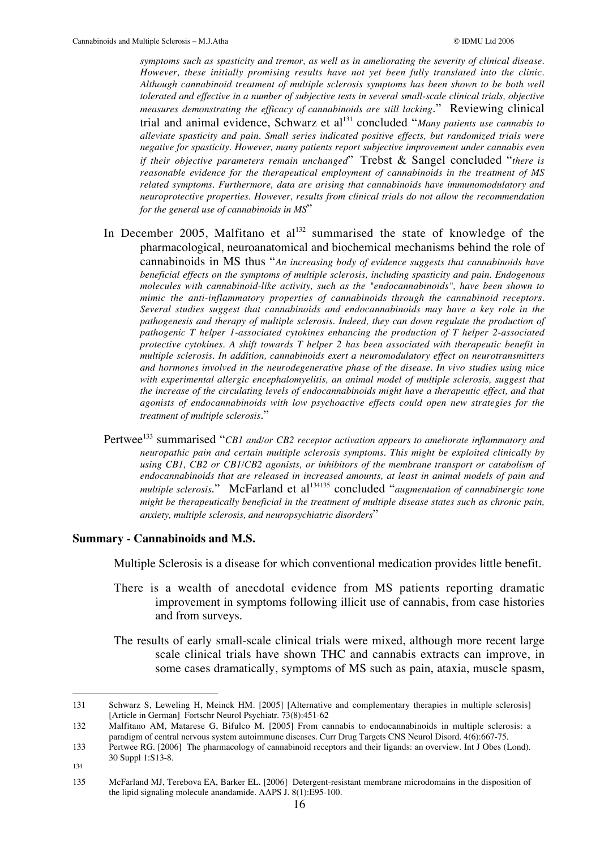*symptoms such as spasticity and tremor, as well as in ameliorating the severity of clinical disease. However, these initially promising results have not yet been fully translated into the clinic. Although cannabinoid treatment of multiple sclerosis symptoms has been shown to be both well tolerated and effective in a number of subjective tests in several small-scale clinical trials, objective measures demonstrating the efficacy of cannabinoids are still lacking*." Reviewing clinical trial and animal evidence, Schwarz et al<sup>131</sup> concluded "*Many patients use cannabis to alleviate spasticity and pain. Small series indicated positive effects, but randomized trials were negative for spasticity. However, many patients report subjective improvement under cannabis even if their objective parameters remain unchanged*" Trebst & Sangel concluded "*there is reasonable evidence for the therapeutical employment of cannabinoids in the treatment of MS related symptoms. Furthermore, data are arising that cannabinoids have immunomodulatory and neuroprotective properties. However, results from clinical trials do not allow the recommendation for the general use of cannabinoids in MS*"

- In December 2005, Malfitano et  $al<sup>132</sup>$  summarised the state of knowledge of the pharmacological, neuroanatomical and biochemical mechanisms behind the role of cannabinoids in MS thus "*An increasing body of evidence suggests that cannabinoids have beneficial effects on the symptoms of multiple sclerosis, including spasticity and pain. Endogenous molecules with cannabinoid-like activity, such as the "endocannabinoids", have been shown to mimic the anti-inflammatory properties of cannabinoids through the cannabinoid receptors. Several studies suggest that cannabinoids and endocannabinoids may have a key role in the pathogenesis and therapy of multiple sclerosis. Indeed, they can down regulate the production of pathogenic T helper 1-associated cytokines enhancing the production of T helper 2-associated protective cytokines. A shift towards T helper 2 has been associated with therapeutic benefit in multiple sclerosis. In addition, cannabinoids exert a neuromodulatory effect on neurotransmitters and hormones involved in the neurodegenerative phase of the disease. In vivo studies using mice with experimental allergic encephalomyelitis, an animal model of multiple sclerosis, suggest that the increase of the circulating levels of endocannabinoids might have a therapeutic effect, and that agonists of endocannabinoids with low psychoactive effects could open new strategies for the treatment of multiple sclerosis*."
- Pertwee<sup>133</sup> summarised "*CB1 and/or CB2 receptor activation appears to ameliorate inflammatory and neuropathic pain and certain multiple sclerosis symptoms. This might be exploited clinically by using CB1, CB2 or CB1/CB2 agonists, or inhibitors of the membrane transport or catabolism of endocannabinoids that are released in increased amounts, at least in animal models of pain and multiple sclerosis.*" McFarland et al<sup>134135</sup> concluded "*augmentation of cannabinergic tone might be therapeutically beneficial in the treatment of multiple disease states such as chronic pain, anxiety, multiple sclerosis, and neuropsychiatric disorders*"

#### **Summary - Cannabinoids and M.S.**

Multiple Sclerosis is a disease for which conventional medication provides little benefit.

- There is a wealth of anecdotal evidence from MS patients reporting dramatic improvement in symptoms following illicit use of cannabis, from case histories and from surveys.
- The results of early small-scale clinical trials were mixed, although more recent large scale clinical trials have shown THC and cannabis extracts can improve, in some cases dramatically, symptoms of MS such as pain, ataxia, muscle spasm,

134

 <sup>131</sup> Schwarz S, Leweling H, Meinck HM. [2005] [Alternative and complementary therapies in multiple sclerosis] [Article in German] Fortschr Neurol Psychiatr. 73(8):451-62

<sup>132</sup> Malfitano AM, Matarese G, Bifulco M. [2005] From cannabis to endocannabinoids in multiple sclerosis: a paradigm of central nervous system autoimmune diseases. Curr Drug Targets CNS Neurol Disord. 4(6):667-75.

<sup>133</sup> Pertwee RG. [2006] The pharmacology of cannabinoid receptors and their ligands: an overview. Int J Obes (Lond). 30 Suppl 1:S13-8.

<sup>135</sup> McFarland MJ, Terebova EA, Barker EL. [2006] Detergent-resistant membrane microdomains in the disposition of the lipid signaling molecule anandamide. AAPS J. 8(1):E95-100.